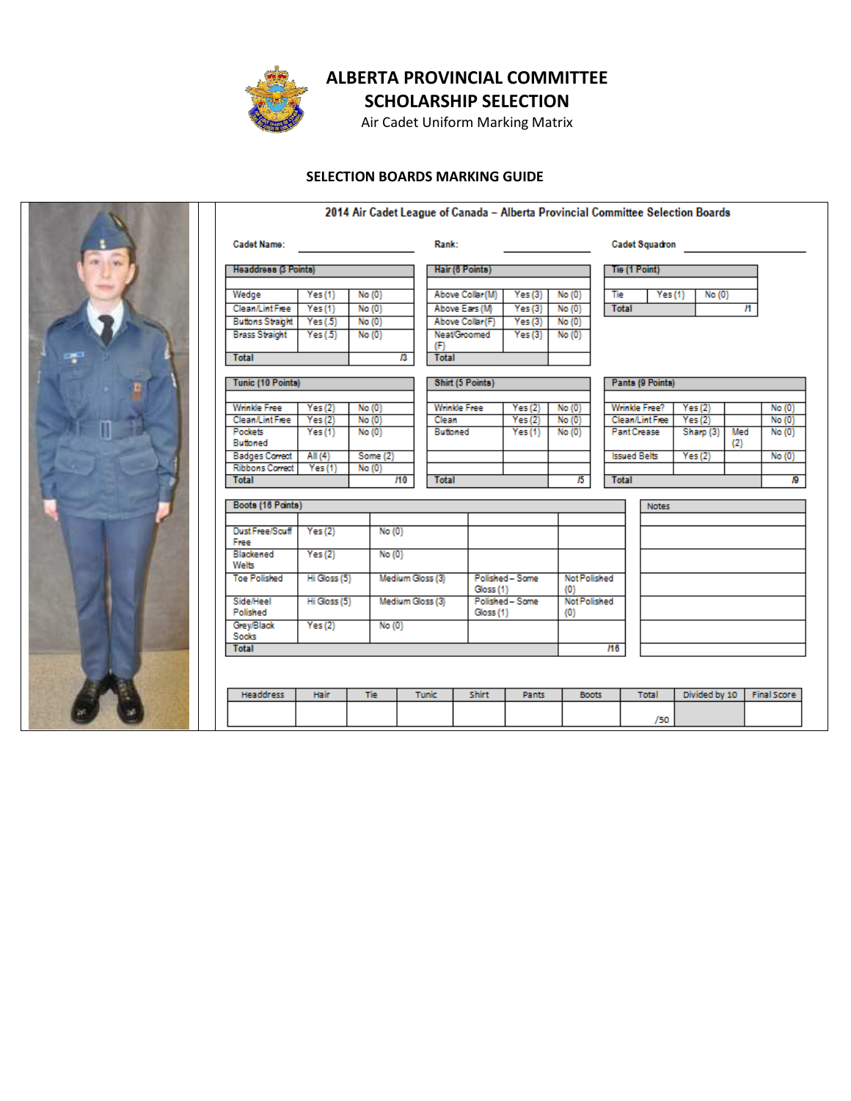

SCHOLARSHIP SELECTION

Air Cadet Uniform Marking Matrix

### SELECTION BOARDS MARKING GUIDE



|                              |              |          |                  |                         |                              |                              |                     |                            |                       |              | 2014 Air Cadet League of Canada - Alberta Provincial Committee Selection Boards |     |                    |
|------------------------------|--------------|----------|------------------|-------------------------|------------------------------|------------------------------|---------------------|----------------------------|-----------------------|--------------|---------------------------------------------------------------------------------|-----|--------------------|
| <b>Cadet Name:</b>           |              |          |                  | Rank:                   |                              |                              |                     | <b>Cadet Squadron</b>      |                       |              |                                                                                 |     |                    |
| Headdress (3 Points)         |              |          |                  | Hair (6 Points)         |                              |                              |                     | Tie (1 Point)              |                       |              |                                                                                 |     |                    |
|                              |              |          |                  |                         |                              |                              |                     |                            |                       |              |                                                                                 |     |                    |
| Wedge                        | Yes(1)       | No(0)    |                  |                         | Above Collar (M)             | Yes(3)                       | No(0)               |                            | Tie                   | Yes(1)       | No(0)                                                                           |     |                    |
| <b>Clean/LintFree</b>        | Yes(1)       | No(0)    |                  | Above Ears (M)          |                              | Yes(3)                       | No(0)               |                            | <b>Total</b>          |              |                                                                                 | и   |                    |
| <b>Buttons Straight</b>      | Yes(5)       | No(0)    |                  | Above Collar (F)        |                              | Yes(3)                       | No(0)               |                            |                       |              |                                                                                 |     |                    |
| <b>Brass Straight</b>        | Yes(0.5)     | No(0)    |                  | (F)                     | <b>Neat/Groomed</b>          | Yes(3)                       | No(0)               |                            |                       |              |                                                                                 |     |                    |
| <b>Total</b>                 |              |          | $\overline{B}$   | <b>Total</b>            |                              |                              |                     |                            |                       |              |                                                                                 |     |                    |
| Tunic (10 Points)            |              |          |                  | <b>Shirt (5 Points)</b> |                              |                              |                     | Pants (9 Points)           |                       |              |                                                                                 |     |                    |
|                              |              |          |                  |                         |                              |                              |                     |                            |                       |              |                                                                                 |     |                    |
| <b>Wrinkle Free</b>          | Yes(2)       | No(0)    |                  |                         | <b>Wrinkle Free</b>          | <b>Yes</b> (2)               | No(0)               |                            | Wrinkle Free?         |              | Yes(2)                                                                          |     | No(0)              |
| <b>Clean/Lint Free</b>       | Yes(2)       | No(0)    |                  | Clean                   |                              | Yes(2)                       | No(0)               |                            | <b>Clean/LintFree</b> |              | Yes(2)                                                                          |     | No(0)              |
| <b>Pockets</b>               | Yes(1)       | No(0)    |                  | Buttoned                |                              | Yes(1)                       | No(0)               |                            | <b>Pant Crease</b>    |              | Sharp (3)                                                                       | Med | No(0)              |
| Buttoned                     |              |          |                  |                         |                              |                              |                     |                            |                       |              |                                                                                 | (2) |                    |
| <b>Badges Correct</b>        | All $(4)$    | Some (2) |                  |                         |                              |                              |                     |                            | <b>Issued Belts</b>   |              | Yes(2)                                                                          |     | No(0)              |
| <b>Ribbons Correct</b>       | Yes(1)       | No(0)    |                  |                         |                              |                              |                     |                            |                       |              |                                                                                 |     |                    |
| <b>Total</b>                 |              |          | H <sub>0</sub>   | <b>Total</b>            |                              |                              | $\overline{15}$     |                            | <b>Total</b>          |              |                                                                                 |     | ю                  |
| Boots (16 Points)            |              |          |                  |                         |                              |                              |                     |                            |                       | <b>Notes</b> |                                                                                 |     |                    |
|                              |              |          |                  |                         |                              |                              |                     |                            |                       |              |                                                                                 |     |                    |
| Dust Free/Scuff<br>Free      | Yes(2)       | No(0)    |                  |                         |                              |                              |                     |                            |                       |              |                                                                                 |     |                    |
| Blackened<br>Welts           | Yes(2)       | No(0)    |                  |                         |                              |                              |                     |                            |                       |              |                                                                                 |     |                    |
| <b>Toe Polished</b>          | Hi Gloss (5) |          | Medium Gloss (3) |                         |                              | Polished - Some<br>Gloss (1) |                     | <b>Not Polished</b><br>(O) |                       |              |                                                                                 |     |                    |
| <b>Side/Heel</b><br>Polished | Hi Gloss (5) |          | Medium Gloss (3) |                         | Polished - Some<br>Gloss (1) |                              | Not Polished<br>(0) |                            |                       |              |                                                                                 |     |                    |
| Grey/Black<br>Socks          | Yes(2)       |          | No(0)            |                         |                              |                              |                     |                            |                       |              |                                                                                 |     |                    |
| <b>Total</b>                 |              |          |                  |                         |                              |                              |                     |                            | H6                    |              |                                                                                 |     |                    |
|                              |              |          |                  |                         |                              |                              |                     |                            |                       |              |                                                                                 |     |                    |
| <b>Headdress</b>             | Hair         |          |                  | <b>Tunic</b>            | <b>Shirt</b>                 | <b>Pants</b>                 | <b>Boots</b>        |                            |                       | Total        | Divided by 10                                                                   |     | <b>Final Score</b> |
|                              |              |          |                  |                         |                              |                              |                     |                            |                       | /50          |                                                                                 |     |                    |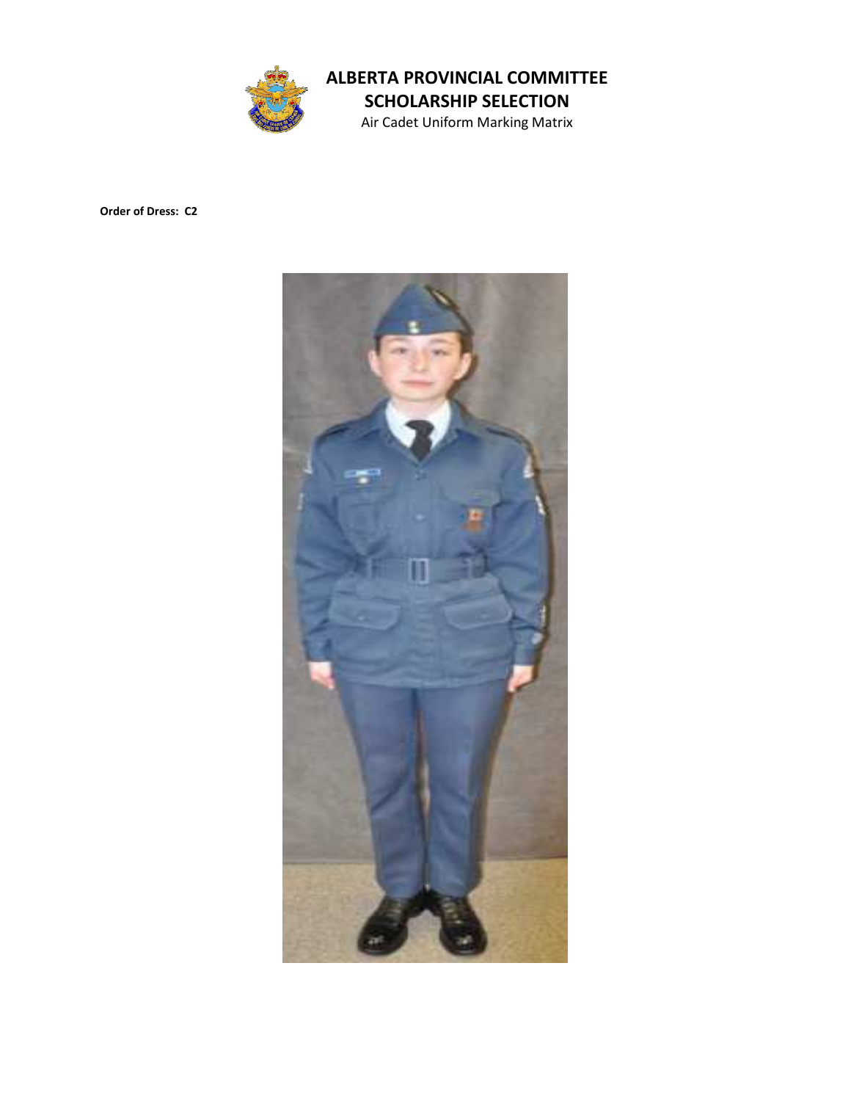

Air Cadet Uniform Marking Matrix

Order of Dress: C2

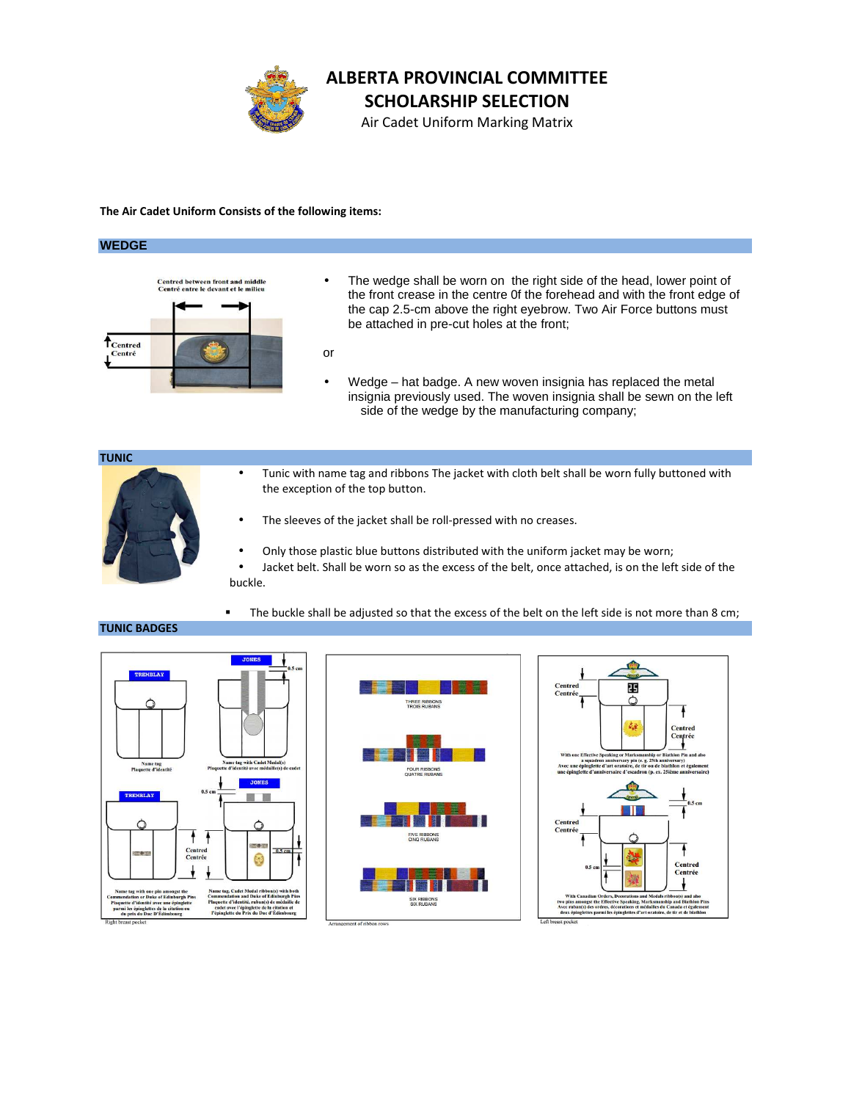

Air Cadet Uniform Marking Matrix

#### The Air Cadet Uniform Consists of the following items:

#### **WEDGE**



- The wedge shall be worn on the right side of the head, lower point of the front crease in the centre 0f the forehead and with the front edge of the cap 2.5-cm above the right eyebrow. Two Air Force buttons must be attached in pre-cut holes at the front;
- or
- Wedge hat badge. A new woven insignia has replaced the metal insignia previously used. The woven insignia shall be sewn on the left side of the wedge by the manufacturing company;

#### TUNIC



- Tunic with name tag and ribbons The jacket with cloth belt shall be worn fully buttoned with the exception of the top button.
- The sleeves of the jacket shall be roll-pressed with no creases.
- Only those plastic blue buttons distributed with the uniform jacket may be worn;
- Jacket belt. Shall be worn so as the excess of the belt, once attached, is on the left side of the buckle.
- The buckle shall be adjusted so that the excess of the belt on the left side is not more than 8 cm;

#### TUNIC BADGES





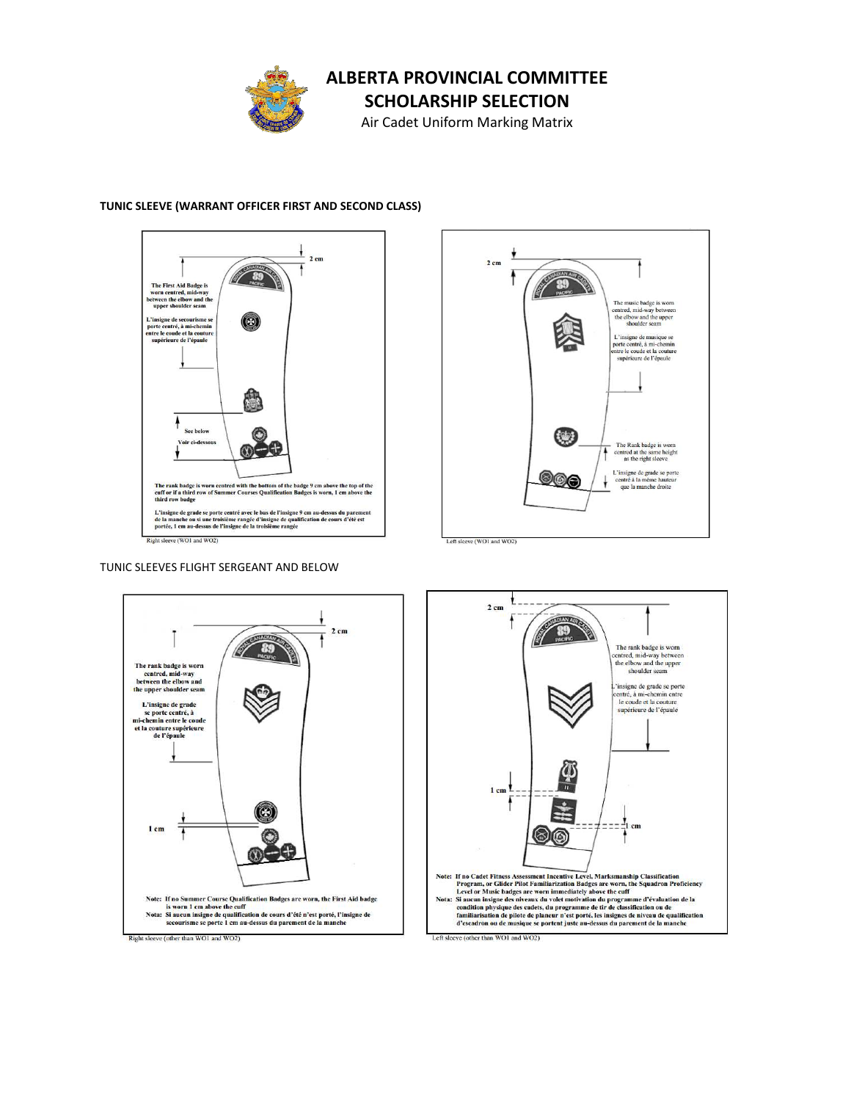

SCHOLARSHIP SELECTION

Air Cadet Uniform Marking Matrix

#### TUNIC SLEEVE (WARRANT OFFICER FIRST AND SECOND CLASS)



 $2 \text{ cm}$ The music badge is worn centred, mid-way between<br>the elbow and the upper<br>shoulder seam L'insigne de musique se<br>porte centré, à mi-chemin<br>entre le coude et la couture<br>supérieure de l'épaule  $\begin{pmatrix} 1 & 1 \\ 1 & 1 \end{pmatrix}$ The Rank badge is worn<br>centred at the same height<br>as the right sleeve ∔ L'insigne de grade se porte<br>centré à la même hauteur<br>que la manche droite 000 ł Left sleeve (WO1 and WO2)

TUNIC SLEEVES FLIGHT SERGEANT AND BELOW



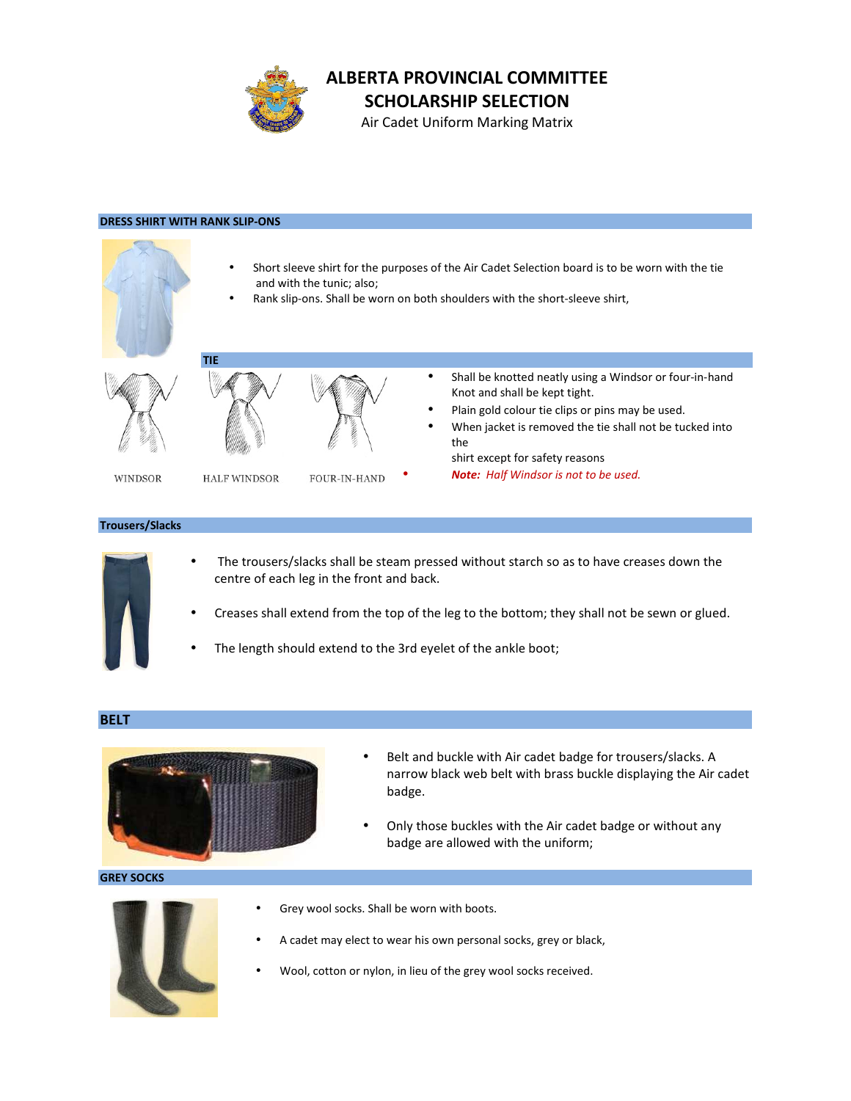

SCHOLARSHIP SELECTION

Air Cadet Uniform Marking Matrix

#### DRESS SHIRT WITH RANK SLIP-ONS



#### Trousers/Slacks



- The trousers/slacks shall be steam pressed without starch so as to have creases down the centre of each leg in the front and back.
- Creases shall extend from the top of the leg to the bottom; they shall not be sewn or glued.
- The length should extend to the 3rd eyelet of the ankle boot;

#### BELT



- Belt and buckle with Air cadet badge for trousers/slacks. A narrow black web belt with brass buckle displaying the Air cadet badge.
- Only those buckles with the Air cadet badge or without any badge are allowed with the uniform;

#### GREY SOCKS



- Grey wool socks. Shall be worn with boots.
- A cadet may elect to wear his own personal socks, grey or black,
- Wool, cotton or nylon, in lieu of the grey wool socks received.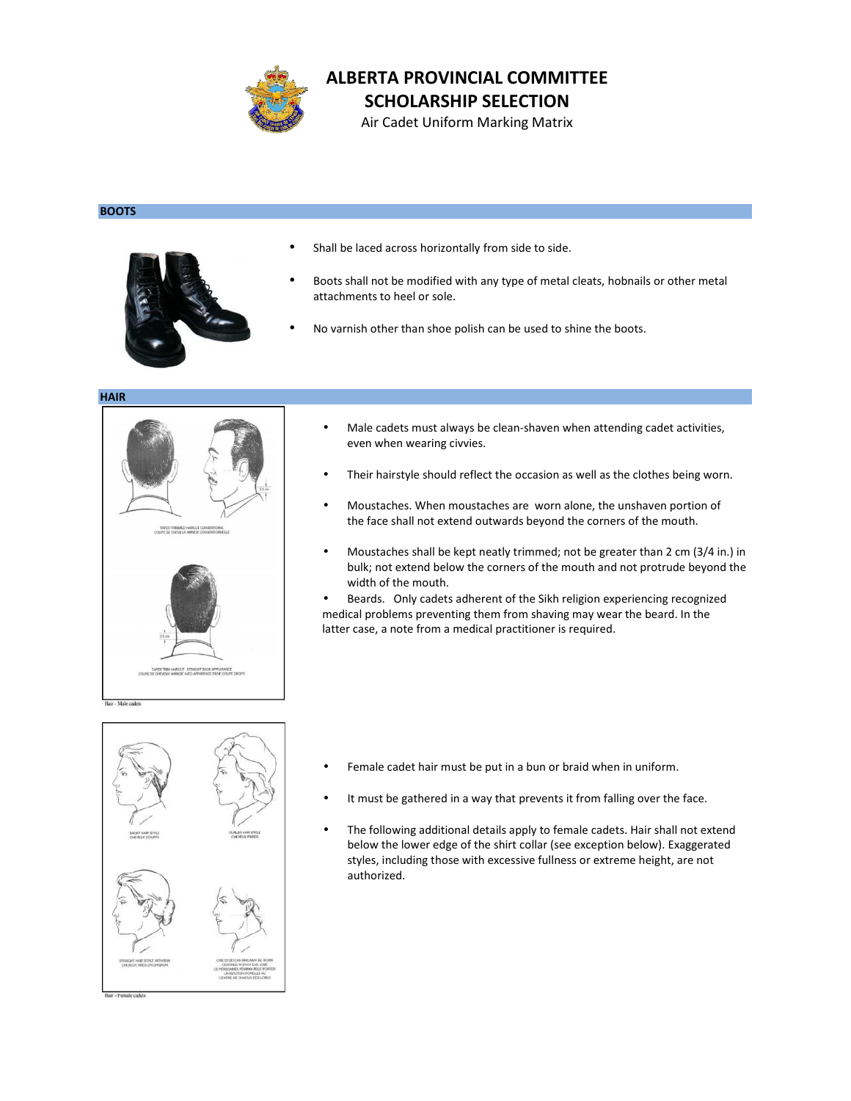

SCHOLARSHIP SELECTION

Air Cadet Uniform Marking Matrix

#### **BOOTS**



- Shall be laced across horizontally from side to side.
- Boots shall not be modified with any type of metal cleats, hobnails or other metal attachments to heel or sole.
- No varnish other than shoe polish can be used to shine the boots.

HAIR



- Male cadets must always be clean-shaven when attending cadet activities, even when wearing civvies.
- Their hairstyle should reflect the occasion as well as the clothes being worn.
- Moustaches. When moustaches are worn alone, the unshaven portion of the face shall not extend outwards beyond the corners of the mouth.
- Moustaches shall be kept neatly trimmed; not be greater than 2 cm (3/4 in.) in bulk; not extend below the corners of the mouth and not protrude beyond the width of the mouth.

• Beards. Only cadets adherent of the Sikh religion experiencing recognized medical problems preventing them from shaving may wear the beard. In the latter case, a note from a medical practitioner is required.

- Female cadet hair must be put in a bun or braid when in uniform.
- It must be gathered in a way that prevents it from falling over the face.
- The following additional details apply to female cadets. Hair shall not extend below the lower edge of the shirt collar (see exception below). Exaggerated styles, including those with excessive fullness or extreme height, are not authorized.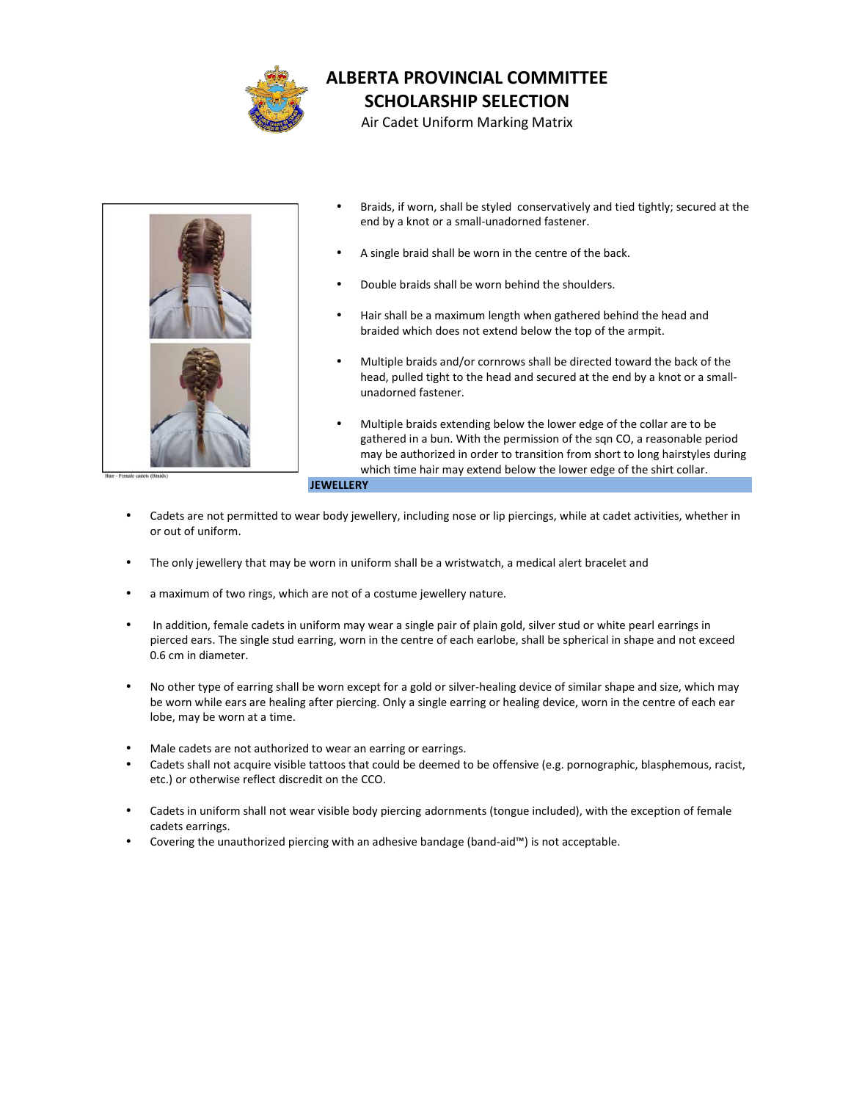

Air Cadet Uniform Marking Matrix



- Braids, if worn, shall be styled conservatively and tied tightly; secured at the end by a knot or a small-unadorned fastener.
- A single braid shall be worn in the centre of the back.
- Double braids shall be worn behind the shoulders.
- Hair shall be a maximum length when gathered behind the head and braided which does not extend below the top of the armpit.
- Multiple braids and/or cornrows shall be directed toward the back of the head, pulled tight to the head and secured at the end by a knot or a small unadorned fastener.
- Multiple braids extending below the lower edge of the collar are to be gathered in a bun. With the permission of the sqn CO, a reasonable period may be authorized in order to transition from short to long hairstyles during which time hair may extend below the lower edge of the shirt collar.

**JEWELLERY** 

- Cadets are not permitted to wear body jewellery, including nose or lip piercings, while at cadet activities, whether in or out of uniform.
- The only jewellery that may be worn in uniform shall be a wristwatch, a medical alert bracelet and
- a maximum of two rings, which are not of a costume jewellery nature.
- In addition, female cadets in uniform may wear a single pair of plain gold, silver stud or white pearl earrings in pierced ears. The single stud earring, worn in the centre of each earlobe, shall be spherical in shape and not exceed 0.6 cm in diameter.
- No other type of earring shall be worn except for a gold or silver-healing device of similar shape and size, which may be worn while ears are healing after piercing. Only a single earring or healing device, worn in the centre of each ear lobe, may be worn at a time.
- Male cadets are not authorized to wear an earring or earrings.
- Cadets shall not acquire visible tattoos that could be deemed to be offensive (e.g. pornographic, blasphemous, racist, etc.) or otherwise reflect discredit on the CCO.
- Cadets in uniform shall not wear visible body piercing adornments (tongue included), with the exception of female cadets earrings.
- Covering the unauthorized piercing with an adhesive bandage (band-aid™) is not acceptable.